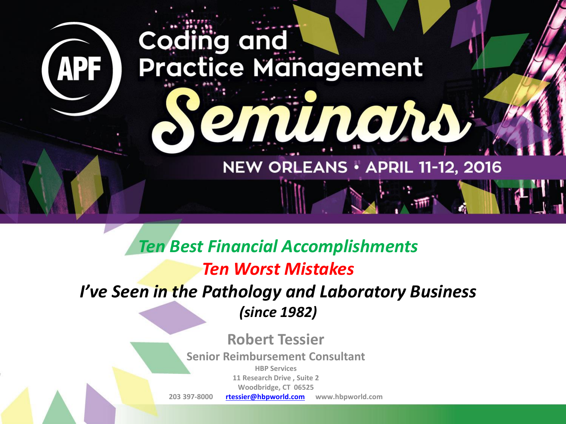# Coding and **Practice Management** em unans, NEW ORLEANS . APRIL 11-12, 2016

**APF** 

*Ten Best Financial Accomplishments Ten Worst Mistakes I've Seen in the Pathology and Laboratory Business (since 1982)*

**Robert Tessier**

**Senior Reimbursement Consultant**

**HBP Services 11 Research Drive , Suite 2**

**Woodbridge, CT 06525**

**203 397-8000 [rtessier@hbpworld.com](mailto:rtessier@hbpworld.com) www.hbpworld.com**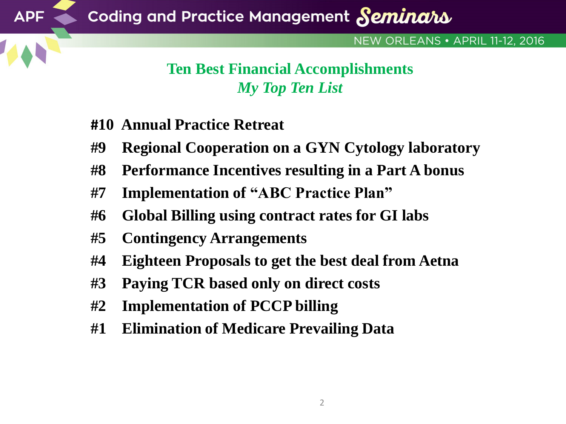#### NEW ORLEANS • APRIL 11-12, 2016

## **Ten Best Financial Accomplishments** *My Top Ten List*

**#10 Annual Practice Retreat**

**APF** 

- **#9 Regional Cooperation on a GYN Cytology laboratory**
- **#8 Performance Incentives resulting in a Part A bonus**
- **#7 Implementation of "ABC Practice Plan"**
- **#6 Global Billing using contract rates for GI labs**
- **#5 Contingency Arrangements**
- **#4 Eighteen Proposals to get the best deal from Aetna**
- **#3 Paying TCR based only on direct costs**
- **#2 Implementation of PCCP billing**
- **#1 Elimination of Medicare Prevailing Data**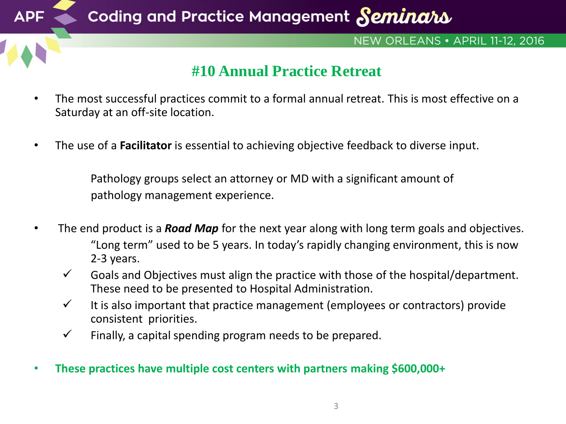

## **#10 Annual Practice Retreat**

- The most successful practices commit to a formal annual retreat. This is most effective on a Saturday at an off-site location.
- The use of a **Facilitator** is essential to achieving objective feedback to diverse input.

Pathology groups select an attorney or MD with a significant amount of pathology management experience.

- The end product is a *Road Map* for the next year along with long term goals and objectives. "Long term" used to be 5 years. In today's rapidly changing environment, this is now 2-3 years.
	- $\checkmark$  Goals and Objectives must align the practice with those of the hospital/department. These need to be presented to Hospital Administration.
	- $\checkmark$  It is also important that practice management (employees or contractors) provide consistent priorities.
	- $\checkmark$  Finally, a capital spending program needs to be prepared.
- **These practices have multiple cost centers with partners making \$600,000+**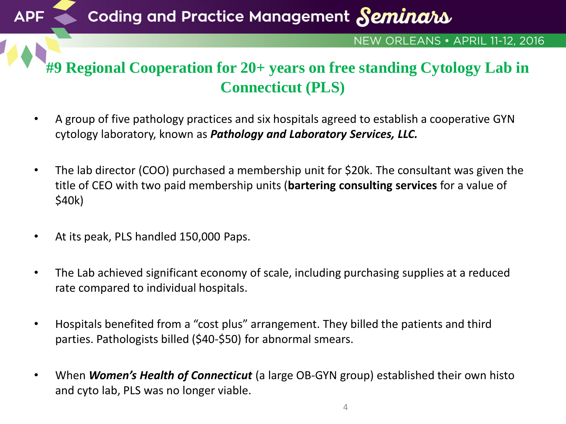Coding and Practice Management Seminars

#### NEW ORLEANS • APRIL 11-12, 2016

## **#9 Regional Cooperation for 20+ years on free standing Cytology Lab in Connecticut (PLS)**

- A group of five pathology practices and six hospitals agreed to establish a cooperative GYN cytology laboratory, known as *Pathology and Laboratory Services, LLC.*
- The lab director (COO) purchased a membership unit for \$20k. The consultant was given the title of CEO with two paid membership units (**bartering consulting services** for a value of \$40k)
- At its peak, PLS handled 150,000 Paps.

**APF** 

- The Lab achieved significant economy of scale, including purchasing supplies at a reduced rate compared to individual hospitals.
- Hospitals benefited from a "cost plus" arrangement. They billed the patients and third parties. Pathologists billed (\$40-\$50) for abnormal smears.
- When *Women's Health of Connecticut* (a large OB-GYN group) established their own histo and cyto lab, PLS was no longer viable.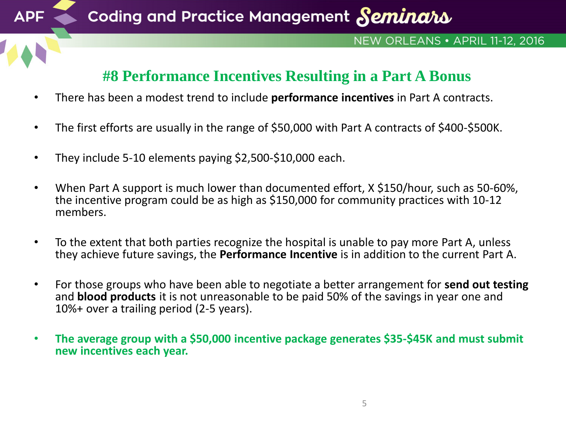

#### NEW ORLEANS • APRIL 11-12, 2016

## **#8 Performance Incentives Resulting in a Part A Bonus**

- There has been a modest trend to include **performance incentives** in Part A contracts.
- The first efforts are usually in the range of \$50,000 with Part A contracts of \$400-\$500K.
- They include 5-10 elements paying \$2,500-\$10,000 each.

**APF** 

- When Part A support is much lower than documented effort, X \$150/hour, such as 50-60%, the incentive program could be as high as \$150,000 for community practices with 10-12 members.
- To the extent that both parties recognize the hospital is unable to pay more Part A, unless they achieve future savings, the **Performance Incentive** is in addition to the current Part A.
- For those groups who have been able to negotiate a better arrangement for **send out testing**  and **blood products** it is not unreasonable to be paid 50% of the savings in year one and 10%+ over a trailing period (2-5 years).
- **The average group with a \$50,000 incentive package generates \$35-\$45K and must submit new incentives each year.**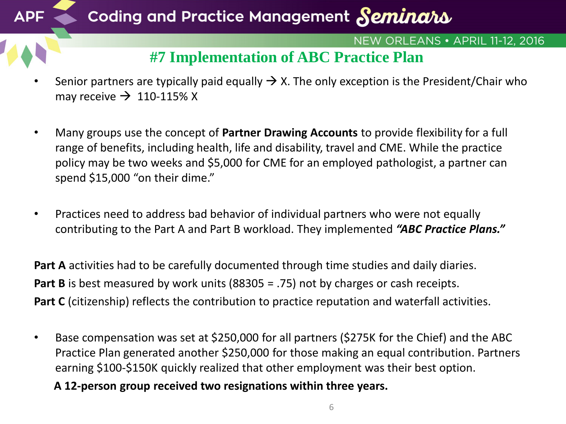

- Senior partners are typically paid equally  $\rightarrow$  X. The only exception is the President/Chair who may receive  $\rightarrow$  110-115% X
- Many groups use the concept of **Partner Drawing Accounts** to provide flexibility for a full range of benefits, including health, life and disability, travel and CME. While the practice policy may be two weeks and \$5,000 for CME for an employed pathologist, a partner can spend \$15,000 "on their dime."
- Practices need to address bad behavior of individual partners who were not equally contributing to the Part A and Part B workload. They implemented *"ABC Practice Plans."*

**Part A** activities had to be carefully documented through time studies and daily diaries. **Part B** is best measured by work units (88305 = .75) not by charges or cash receipts. **Part C** (citizenship) reflects the contribution to practice reputation and waterfall activities.

• Base compensation was set at \$250,000 for all partners (\$275K for the Chief) and the ABC Practice Plan generated another \$250,000 for those making an equal contribution. Partners earning \$100-\$150K quickly realized that other employment was their best option.

**A 12-person group received two resignations within three years.**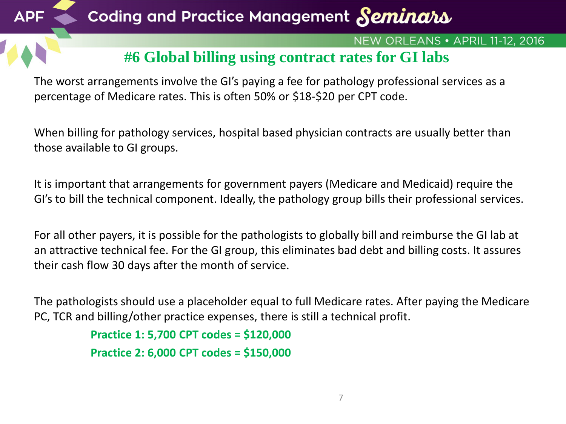## Coding and Practice Management Seminars

#### NEW ORLEANS . APRIL 11-12, 2016

## **#6 Global billing using contract rates for GI labs**

The worst arrangements involve the GI's paying a fee for pathology professional services as a percentage of Medicare rates. This is often 50% or \$18-\$20 per CPT code.

When billing for pathology services, hospital based physician contracts are usually better than those available to GI groups.

It is important that arrangements for government payers (Medicare and Medicaid) require the GI's to bill the technical component. Ideally, the pathology group bills their professional services.

For all other payers, it is possible for the pathologists to globally bill and reimburse the GI lab at an attractive technical fee. For the GI group, this eliminates bad debt and billing costs. It assures their cash flow 30 days after the month of service.

The pathologists should use a placeholder equal to full Medicare rates. After paying the Medicare PC, TCR and billing/other practice expenses, there is still a technical profit.

```
Practice 1: 5,700 CPT codes = $120,000
Practice 2: 6,000 CPT codes = $150,000
```
**APF**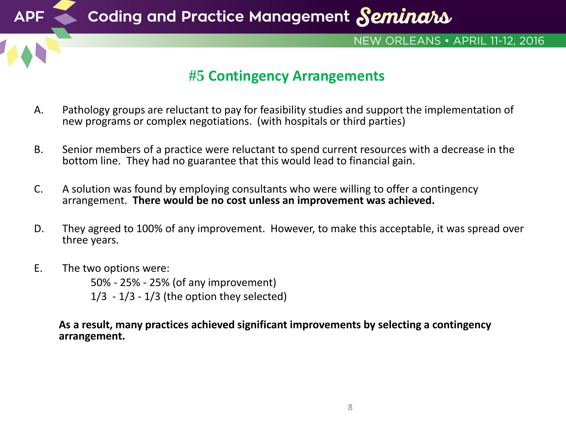

- A. Pathology groups are reluctant to pay for feasibility studies and support the implementation of new programs or complex negotiations. (with hospitals or third parties)
- B. Senior members of a practice were reluctant to spend current resources with a decrease in the bottom line. They had no guarantee that this would lead to financial gain.
- C. A solution was found by employing consultants who were willing to offer a contingency arrangement. **There would be no cost unless an improvement was achieved.**
- D. They agreed to 100% of any improvement. However, to make this acceptable, it was spread over three years.
- E. The two options were:

50% - 25% - 25% (of any improvement)  $1/3 - 1/3 - 1/3$  (the option they selected)

**As a result, many practices achieved significant improvements by selecting a contingency arrangement.**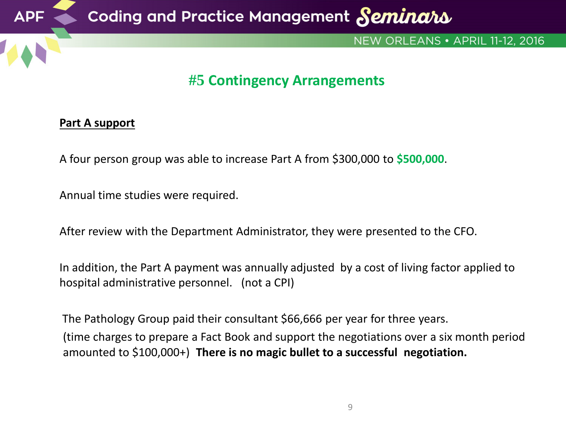

#### **Part A support**

A four person group was able to increase Part A from \$300,000 to **\$500,000**.

Annual time studies were required.

After review with the Department Administrator, they were presented to the CFO.

In addition, the Part A payment was annually adjusted by a cost of living factor applied to hospital administrative personnel. (not a CPI)

The Pathology Group paid their consultant \$66,666 per year for three years. (time charges to prepare a Fact Book and support the negotiations over a six month period

amounted to \$100,000+) **There is no magic bullet to a successful negotiation.**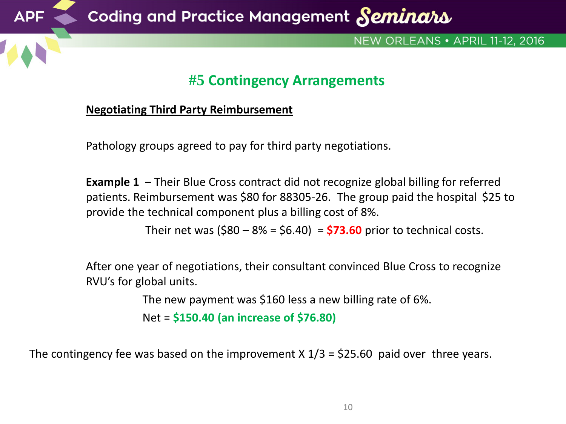

#### **Negotiating Third Party Reimbursement**

Pathology groups agreed to pay for third party negotiations.

**Example 1** – Their Blue Cross contract did not recognize global billing for referred patients. Reimbursement was \$80 for 88305-26. The group paid the hospital \$25 to provide the technical component plus a billing cost of 8%.

Their net was (\$80 – 8% = \$6.40) = **\$73.60** prior to technical costs.

After one year of negotiations, their consultant convinced Blue Cross to recognize RVU's for global units.

The new payment was \$160 less a new billing rate of 6%.

Net = **\$150.40 (an increase of \$76.80)**

The contingency fee was based on the improvement  $X$  1/3 = \$25.60 paid over three years.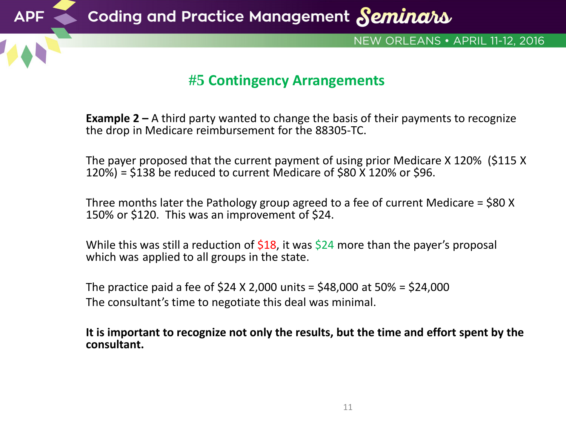

**Example 2 –** A third party wanted to change the basis of their payments to recognize the drop in Medicare reimbursement for the 88305-TC.

The payer proposed that the current payment of using prior Medicare X 120% (\$115 X 120%) = \$138 be reduced to current Medicare of \$80 X 120% or \$96.

Three months later the Pathology group agreed to a fee of current Medicare = \$80 X 150% or \$120. This was an improvement of \$24.

While this was still a reduction of  $$18$ , it was  $$24$  more than the payer's proposal which was applied to all groups in the state.

The practice paid a fee of  $$24 X 2,000$  units =  $$48,000$  at  $50\%$  =  $$24,000$ The consultant's time to negotiate this deal was minimal.

**It is important to recognize not only the results, but the time and effort spent by the consultant.**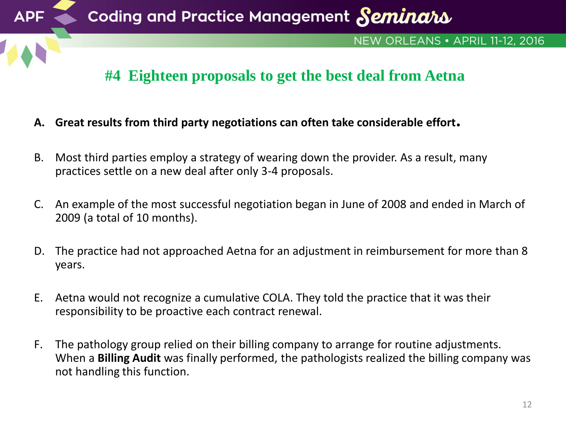

- **A. Great results from third party negotiations can often take considerable effort.**
- B. Most third parties employ a strategy of wearing down the provider. As a result, many practices settle on a new deal after only 3-4 proposals.
- C. An example of the most successful negotiation began in June of 2008 and ended in March of 2009 (a total of 10 months).
- D. The practice had not approached Aetna for an adjustment in reimbursement for more than 8 years.
- E. Aetna would not recognize a cumulative COLA. They told the practice that it was their responsibility to be proactive each contract renewal.
- F. The pathology group relied on their billing company to arrange for routine adjustments. When a **Billing Audit** was finally performed, the pathologists realized the billing company was not handling this function.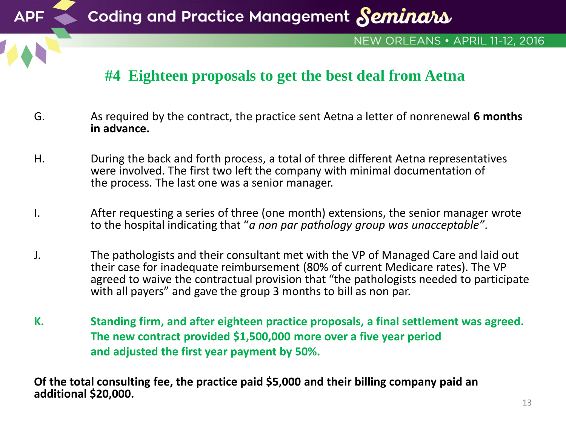

Coding and Practice Management Seminars

#### NEW ORLEANS . APRIL 11-12, 2016

## **#4 Eighteen proposals to get the best deal from Aetna**

- G. As required by the contract, the practice sent Aetna a letter of nonrenewal **6 months in advance.**
- H. During the back and forth process, a total of three different Aetna representatives were involved. The first two left the company with minimal documentation of the process. The last one was a senior manager.
- I. After requesting a series of three (one month) extensions, the senior manager wrote to the hospital indicating that "*a non par pathology group was unacceptable"*.
- J. The pathologists and their consultant met with the VP of Managed Care and laid out their case for inadequate reimbursement (80% of current Medicare rates). The VP agreed to waive the contractual provision that "the pathologists needed to participate with all payers" and gave the group 3 months to bill as non par.
- **K. Standing firm, and after eighteen practice proposals, a final settlement was agreed. The new contract provided \$1,500,000 more over a five year period and adjusted the first year payment by 50%.**

**Of the total consulting fee, the practice paid \$5,000 and their billing company paid an additional \$20,000.**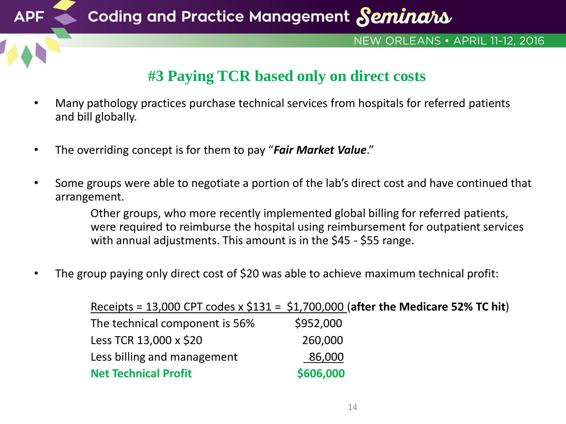

## **#3 Paying TCR based only on direct costs**

- Many pathology practices purchase technical services from hospitals for referred patients and bill globally.
- The overriding concept is for them to pay "*Fair Market Value*."
- Some groups were able to negotiate a portion of the lab's direct cost and have continued that arrangement.

Other groups, who more recently implemented global billing for referred patients, were required to reimburse the hospital using reimbursement for outpatient services with annual adjustments. This amount is in the \$45 - \$55 range.

The group paying only direct cost of \$20 was able to achieve maximum technical profit:

Receipts = 13,000 CPT codes x \$131 = \$1,700,000 (**after the Medicare 52% TC hit**) The technical component is 56% \$952,000 Less TCR 13,000 x \$20 260,000 Less billing and management 86,000 **Net Technical Profit \$606,000**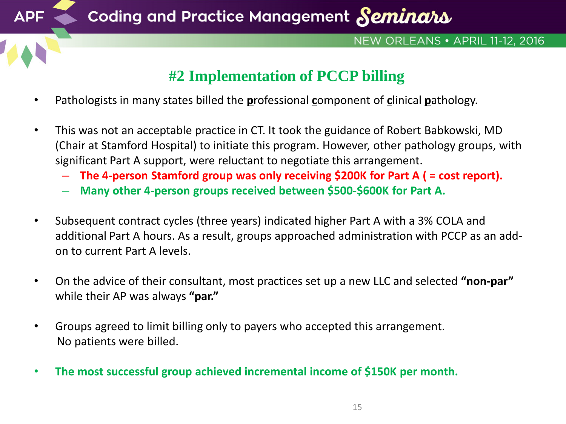

**APF** 

#### NEW ORLEANS • APRIL 11-12, 2016

## **#2 Implementation of PCCP billing**

- Pathologists in many states billed the **p**rofessional **c**omponent of **c**linical **p**athology.
- This was not an acceptable practice in CT. It took the guidance of Robert Babkowski, MD (Chair at Stamford Hospital) to initiate this program. However, other pathology groups, with significant Part A support, were reluctant to negotiate this arrangement.
	- **The 4-person Stamford group was only receiving \$200K for Part A ( = cost report).**
	- **Many other 4-person groups received between \$500-\$600K for Part A.**
- Subsequent contract cycles (three years) indicated higher Part A with a 3% COLA and additional Part A hours. As a result, groups approached administration with PCCP as an addon to current Part A levels.
- On the advice of their consultant, most practices set up a new LLC and selected **"non-par"**  while their AP was always **"par."**
- Groups agreed to limit billing only to payers who accepted this arrangement. No patients were billed.
- **The most successful group achieved incremental income of \$150K per month.**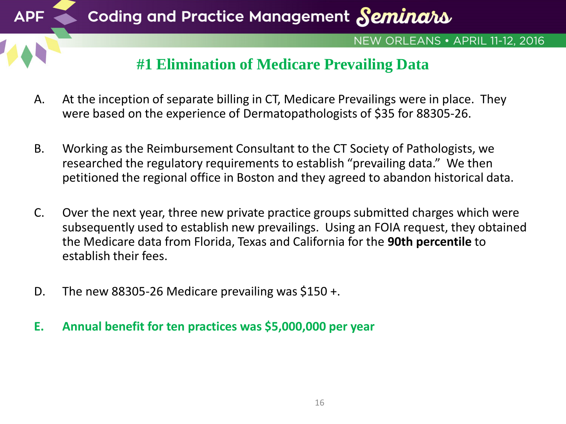

- A. At the inception of separate billing in CT, Medicare Prevailings were in place. They were based on the experience of Dermatopathologists of \$35 for 88305-26.
- B. Working as the Reimbursement Consultant to the CT Society of Pathologists, we researched the regulatory requirements to establish "prevailing data." We then petitioned the regional office in Boston and they agreed to abandon historical data.
- C. Over the next year, three new private practice groups submitted charges which were subsequently used to establish new prevailings. Using an FOIA request, they obtained the Medicare data from Florida, Texas and California for the **90th percentile** to establish their fees.
- D. The new 88305-26 Medicare prevailing was \$150 +.
- **E. Annual benefit for ten practices was \$5,000,000 per year**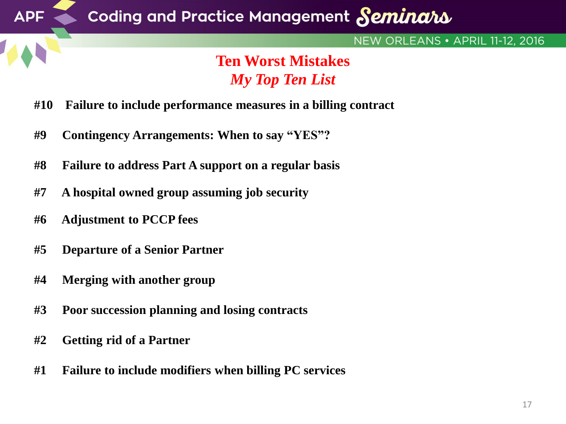

## *My Top Ten List*

- **#10 Failure to include performance measures in a billing contract**
- **#9 Contingency Arrangements: When to say "YES"?**
- **#8 Failure to address Part A support on a regular basis**
- **#7 A hospital owned group assuming job security**
- **#6 Adjustment to PCCP fees**
- **#5 Departure of a Senior Partner**
- **#4 Merging with another group**
- **#3 Poor succession planning and losing contracts**
- **#2 Getting rid of a Partner**
- **#1 Failure to include modifiers when billing PC services**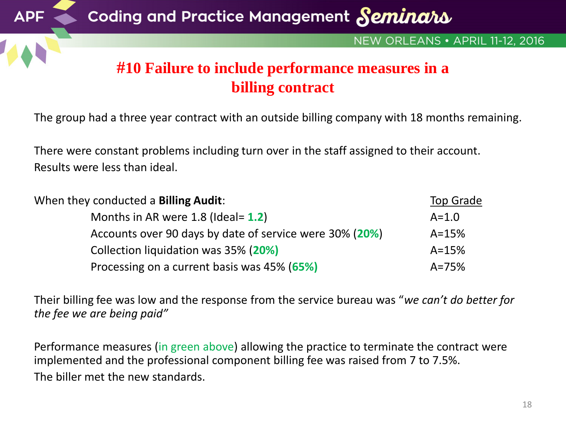

The group had a three year contract with an outside billing company with 18 months remaining.

There were constant problems including turn over in the staff assigned to their account. Results were less than ideal.

| When they conducted a <b>Billing Audit</b> :            | Top Grade |
|---------------------------------------------------------|-----------|
| Months in AR were $1.8$ (Ideal= $1.2$ )                 | $A = 1.0$ |
| Accounts over 90 days by date of service were 30% (20%) | $A = 15%$ |
| Collection liquidation was 35% (20%)                    | $A = 15%$ |
| Processing on a current basis was 45% (65%)             | $A = 75%$ |

Their billing fee was low and the response from the service bureau was "*we can't do better for the fee we are being paid"*

Performance measures (in green above) allowing the practice to terminate the contract were implemented and the professional component billing fee was raised from 7 to 7.5%. The biller met the new standards.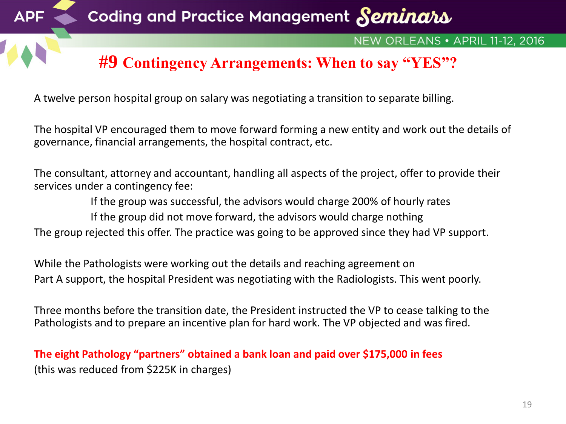

A twelve person hospital group on salary was negotiating a transition to separate billing.

The hospital VP encouraged them to move forward forming a new entity and work out the details of governance, financial arrangements, the hospital contract, etc.

The consultant, attorney and accountant, handling all aspects of the project, offer to provide their services under a contingency fee:

If the group was successful, the advisors would charge 200% of hourly rates If the group did not move forward, the advisors would charge nothing The group rejected this offer. The practice was going to be approved since they had VP support.

While the Pathologists were working out the details and reaching agreement on Part A support, the hospital President was negotiating with the Radiologists. This went poorly.

Three months before the transition date, the President instructed the VP to cease talking to the Pathologists and to prepare an incentive plan for hard work. The VP objected and was fired.

**The eight Pathology "partners" obtained a bank loan and paid over \$175,000 in fees**  (this was reduced from \$225K in charges)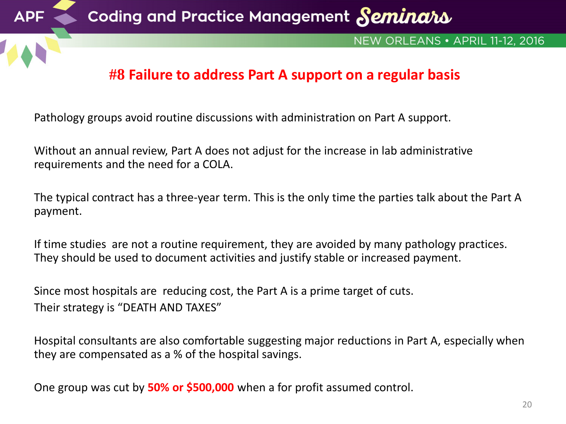

## **#8 Failure to address Part A support on a regular basis**

Pathology groups avoid routine discussions with administration on Part A support.

Without an annual review, Part A does not adjust for the increase in lab administrative requirements and the need for a COLA.

The typical contract has a three-year term. This is the only time the parties talk about the Part A payment.

If time studies are not a routine requirement, they are avoided by many pathology practices. They should be used to document activities and justify stable or increased payment.

Since most hospitals are reducing cost, the Part A is a prime target of cuts. Their strategy is "DEATH AND TAXES"

Hospital consultants are also comfortable suggesting major reductions in Part A, especially when they are compensated as a % of the hospital savings.

One group was cut by **50% or \$500,000** when a for profit assumed control.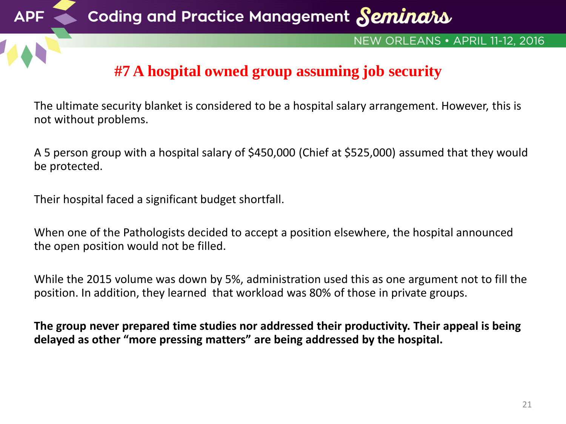

The ultimate security blanket is considered to be a hospital salary arrangement. However, this is not without problems.

A 5 person group with a hospital salary of \$450,000 (Chief at \$525,000) assumed that they would be protected.

Their hospital faced a significant budget shortfall.

When one of the Pathologists decided to accept a position elsewhere, the hospital announced the open position would not be filled.

While the 2015 volume was down by 5%, administration used this as one argument not to fill the position. In addition, they learned that workload was 80% of those in private groups.

**The group never prepared time studies nor addressed their productivity. Their appeal is being delayed as other "more pressing matters" are being addressed by the hospital.**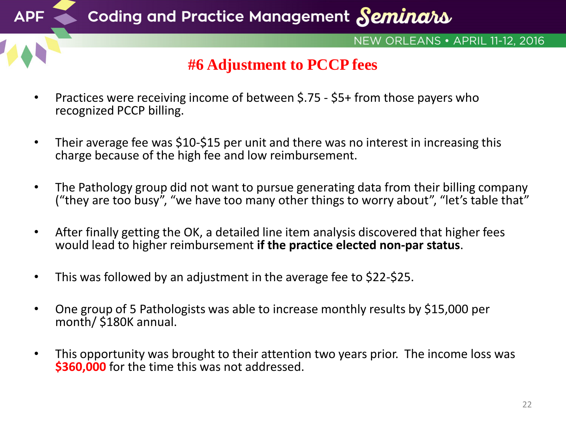

- Practices were receiving income of between \$.75 \$5+ from those payers who recognized PCCP billing.
- Their average fee was \$10-\$15 per unit and there was no interest in increasing this charge because of the high fee and low reimbursement.
- The Pathology group did not want to pursue generating data from their billing company ("they are too busy", "we have too many other things to worry about", "let's table that"
- After finally getting the OK, a detailed line item analysis discovered that higher fees would lead to higher reimbursement **if the practice elected non-par status**.
- This was followed by an adjustment in the average fee to \$22-\$25.
- One group of 5 Pathologists was able to increase monthly results by \$15,000 per month/ \$180K annual.
- This opportunity was brought to their attention two years prior. The income loss was **\$360,000** for the time this was not addressed.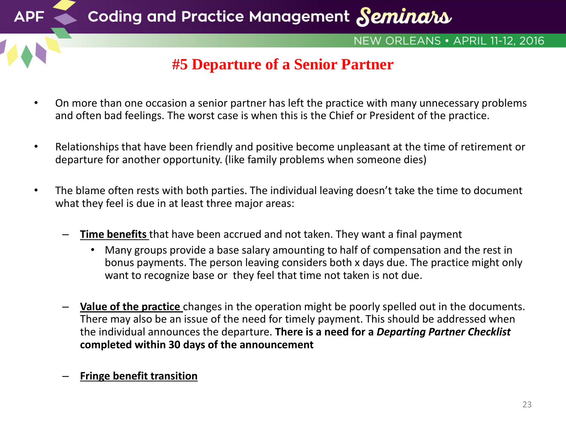![](_page_22_Picture_0.jpeg)

- On more than one occasion a senior partner has left the practice with many unnecessary problems and often bad feelings. The worst case is when this is the Chief or President of the practice.
- Relationships that have been friendly and positive become unpleasant at the time of retirement or departure for another opportunity. (like family problems when someone dies)
- The blame often rests with both parties. The individual leaving doesn't take the time to document what they feel is due in at least three major areas:
	- **Time benefits** that have been accrued and not taken. They want a final payment
		- Many groups provide a base salary amounting to half of compensation and the rest in bonus payments. The person leaving considers both x days due. The practice might only want to recognize base or they feel that time not taken is not due.
	- **Value of the practice** changes in the operation might be poorly spelled out in the documents. There may also be an issue of the need for timely payment. This should be addressed when the individual announces the departure. **There is a need for a** *Departing Partner Checklist*  **completed within 30 days of the announcement**
	- **Fringe benefit transition**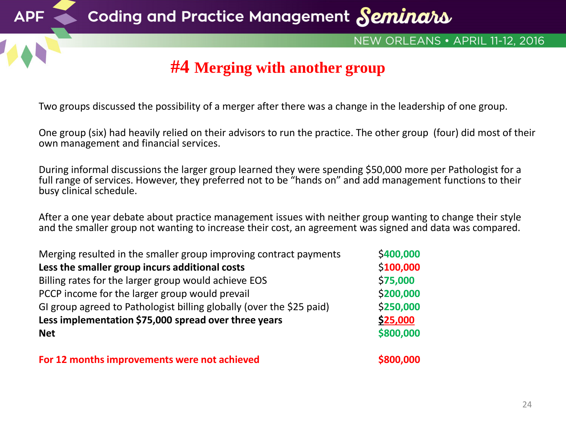![](_page_23_Picture_0.jpeg)

Two groups discussed the possibility of a merger after there was a change in the leadership of one group.

One group (six) had heavily relied on their advisors to run the practice. The other group (four) did most of their own management and financial services.

During informal discussions the larger group learned they were spending \$50,000 more per Pathologist for a full range of services. However, they preferred not to be "hands on" and add management functions to their busy clinical schedule.

After a one year debate about practice management issues with neither group wanting to change their style and the smaller group not wanting to increase their cost, an agreement was signed and data was compared.

| Merging resulted in the smaller group improving contract payments    | \$400,000 |
|----------------------------------------------------------------------|-----------|
| Less the smaller group incurs additional costs                       | \$100,000 |
| Billing rates for the larger group would achieve EOS                 | \$75,000  |
| PCCP income for the larger group would prevail                       | \$200,000 |
| GI group agreed to Pathologist billing globally (over the \$25 paid) | \$250,000 |
| Less implementation \$75,000 spread over three years                 | \$25,000  |
| <b>Net</b>                                                           | \$800,000 |
|                                                                      |           |

**For 12 months improvements were not achieved <b>EXECUTE:**  $\frac{1}{8000,0000}$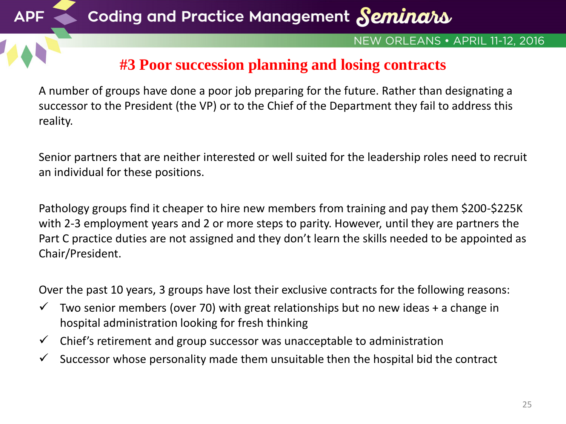![](_page_24_Picture_0.jpeg)

### NEW ORLEANS • APRIL 11-12, 2016

## **#3 Poor succession planning and losing contracts**

A number of groups have done a poor job preparing for the future. Rather than designating a successor to the President (the VP) or to the Chief of the Department they fail to address this reality.

Senior partners that are neither interested or well suited for the leadership roles need to recruit an individual for these positions.

Pathology groups find it cheaper to hire new members from training and pay them \$200-\$225K with 2-3 employment years and 2 or more steps to parity. However, until they are partners the Part C practice duties are not assigned and they don't learn the skills needed to be appointed as Chair/President.

Over the past 10 years, 3 groups have lost their exclusive contracts for the following reasons:

- $\checkmark$  Two senior members (over 70) with great relationships but no new ideas + a change in hospital administration looking for fresh thinking
- $\checkmark$  Chief's retirement and group successor was unacceptable to administration
- $\checkmark$  Successor whose personality made them unsuitable then the hospital bid the contract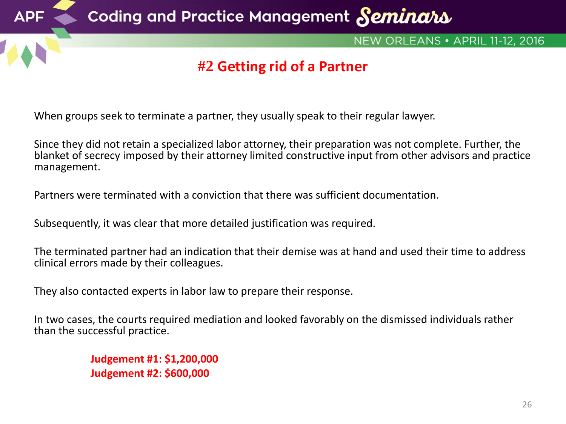![](_page_25_Picture_0.jpeg)

When groups seek to terminate a partner, they usually speak to their regular lawyer.

Since they did not retain a specialized labor attorney, their preparation was not complete. Further, the blanket of secrecy imposed by their attorney limited constructive input from other advisors and practice management.

Partners were terminated with a conviction that there was sufficient documentation.

Subsequently, it was clear that more detailed justification was required.

The terminated partner had an indication that their demise was at hand and used their time to address clinical errors made by their colleagues.

They also contacted experts in labor law to prepare their response.

In two cases, the courts required mediation and looked favorably on the dismissed individuals rather than the successful practice.

> **Judgement #1: \$1,200,000 Judgement #2: \$600,000**